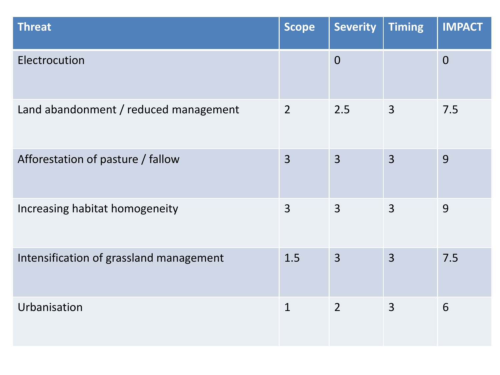| <b>Threat</b>                           | <b>Scope</b>   | <b>Severity</b> | <b>Timing</b>  | <b>IMPACT</b>  |
|-----------------------------------------|----------------|-----------------|----------------|----------------|
| Electrocution                           |                | $\overline{0}$  |                | $\overline{0}$ |
| Land abandonment / reduced management   | $\overline{2}$ | 2.5             | $\overline{3}$ | 7.5            |
| Afforestation of pasture / fallow       | $\overline{3}$ | $\overline{3}$  | $\overline{3}$ | 9              |
| Increasing habitat homogeneity          | 3              | $\overline{3}$  | 3              | 9              |
| Intensification of grassland management | 1.5            | $\overline{3}$  | $\overline{3}$ | 7.5            |
| Urbanisation                            | $\mathbf{1}$   | $\overline{2}$  | 3              | 6              |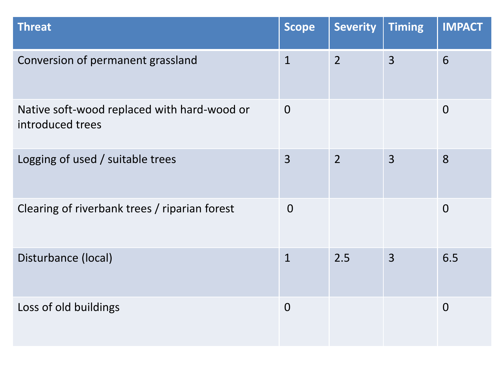| <b>Threat</b>                                                   | <b>Scope</b>   | <b>Severity</b> | <b>Timing</b>  | <b>IMPACT</b>  |
|-----------------------------------------------------------------|----------------|-----------------|----------------|----------------|
| Conversion of permanent grassland                               | $\mathbf{1}$   | $\overline{2}$  | $\overline{3}$ | 6              |
| Native soft-wood replaced with hard-wood or<br>introduced trees | $\Omega$       |                 |                | $\overline{0}$ |
| Logging of used / suitable trees                                | $\overline{3}$ | $\overline{2}$  | $\overline{3}$ | 8              |
| Clearing of riverbank trees / riparian forest                   | $\overline{0}$ |                 |                | $\overline{0}$ |
| Disturbance (local)                                             | $\mathbf{1}$   | 2.5             | $\overline{3}$ | 6.5            |
| Loss of old buildings                                           | $\overline{0}$ |                 |                | $\overline{0}$ |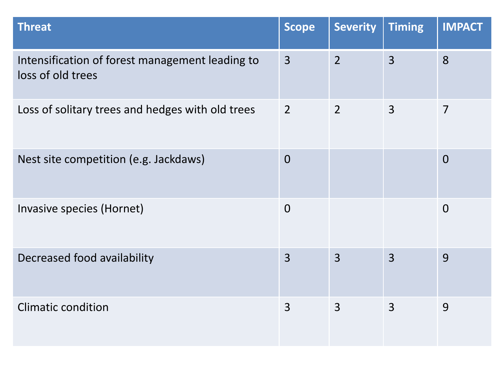| <b>Threat</b>                                                        | <b>Scope</b>   | <b>Severity</b> | <b>Timing</b>  | <b>IMPACT</b>  |
|----------------------------------------------------------------------|----------------|-----------------|----------------|----------------|
| Intensification of forest management leading to<br>loss of old trees | $\overline{3}$ | $\overline{2}$  | $\overline{3}$ | 8              |
| Loss of solitary trees and hedges with old trees                     | $\overline{2}$ | $\overline{2}$  | 3              | $\overline{7}$ |
| Nest site competition (e.g. Jackdaws)                                | $\overline{0}$ |                 |                | $\overline{0}$ |
| Invasive species (Hornet)                                            | $\overline{0}$ |                 |                | $\overline{0}$ |
| Decreased food availability                                          | $\overline{3}$ | $\overline{3}$  | $\overline{3}$ | 9              |
| <b>Climatic condition</b>                                            | $\overline{3}$ | $\overline{3}$  | $\overline{3}$ | 9              |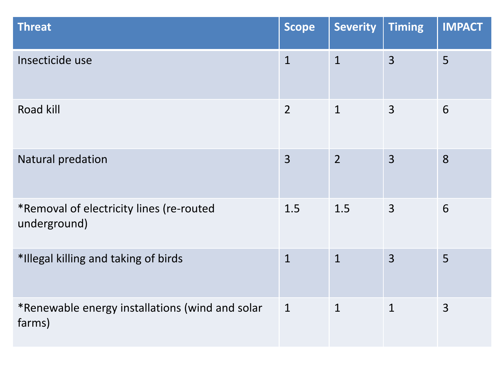| <b>Threat</b>                                             | <b>Scope</b>   | <b>Severity</b> | <b>Timing</b>  | <b>IMPACT</b>  |
|-----------------------------------------------------------|----------------|-----------------|----------------|----------------|
| Insecticide use                                           | $\overline{1}$ | $\mathbf{1}$    | $\overline{3}$ | 5              |
| Road kill                                                 | $\overline{2}$ | $\mathbf{1}$    | $\overline{3}$ | 6              |
| Natural predation                                         | $\overline{3}$ | $\overline{2}$  | $\overline{3}$ | 8              |
| *Removal of electricity lines (re-routed<br>underground)  | 1.5            | 1.5             | $\overline{3}$ | 6              |
| *Illegal killing and taking of birds                      | $\mathbf{1}$   | $\mathbf{1}$    | $\overline{3}$ | 5              |
| *Renewable energy installations (wind and solar<br>farms) | $\mathbf{1}$   | $\mathbf{1}$    | $\mathbf{1}$   | $\overline{3}$ |